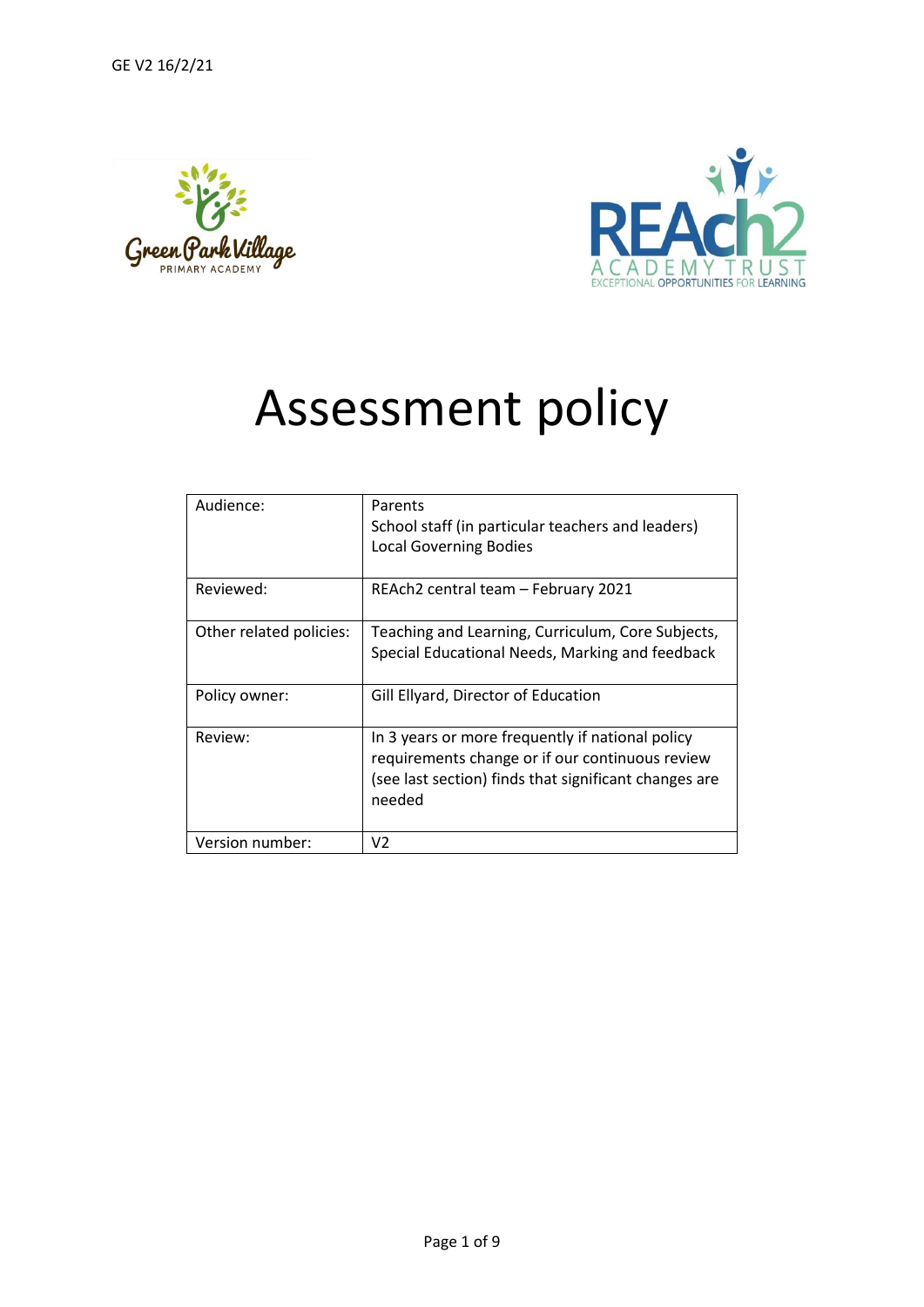



# Assessment policy

| Audience:               | Parents<br>School staff (in particular teachers and leaders)<br><b>Local Governing Bodies</b>                                                                          |
|-------------------------|------------------------------------------------------------------------------------------------------------------------------------------------------------------------|
| Reviewed:               | REAch2 central team - February 2021                                                                                                                                    |
| Other related policies: | Teaching and Learning, Curriculum, Core Subjects,<br>Special Educational Needs, Marking and feedback                                                                   |
| Policy owner:           | Gill Ellyard, Director of Education                                                                                                                                    |
| Review:                 | In 3 years or more frequently if national policy<br>requirements change or if our continuous review<br>(see last section) finds that significant changes are<br>needed |
| Version number:         | V <sub>2</sub>                                                                                                                                                         |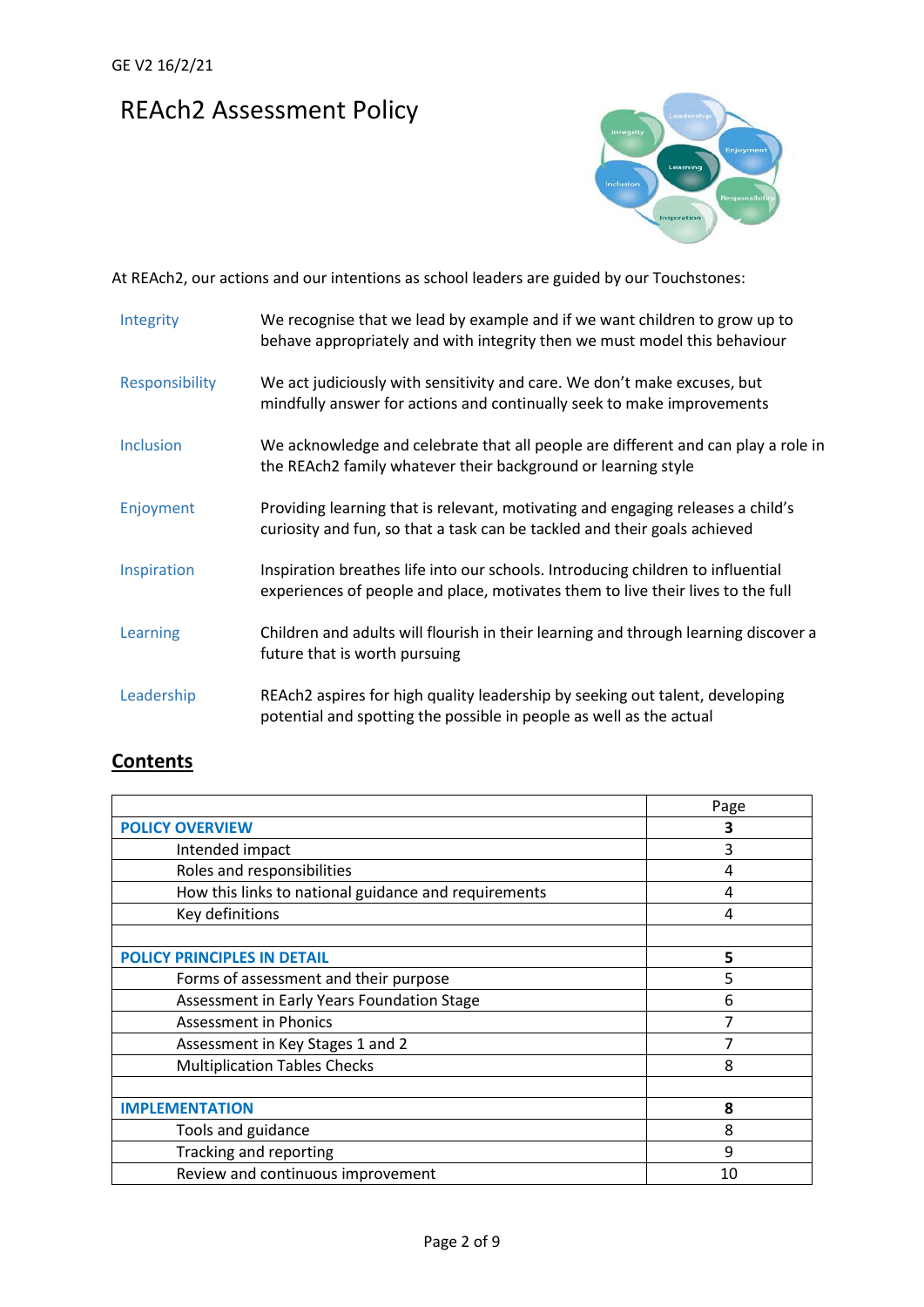## REAch2 Assessment Policy



At REAch2, our actions and our intentions as school leaders are guided by our Touchstones:

| Integrity        | We recognise that we lead by example and if we want children to grow up to<br>behave appropriately and with integrity then we must model this behaviour            |
|------------------|--------------------------------------------------------------------------------------------------------------------------------------------------------------------|
| Responsibility   | We act judiciously with sensitivity and care. We don't make excuses, but<br>mindfully answer for actions and continually seek to make improvements                 |
| <b>Inclusion</b> | We acknowledge and celebrate that all people are different and can play a role in<br>the REAch2 family whatever their background or learning style                 |
| Enjoyment        | Providing learning that is relevant, motivating and engaging releases a child's<br>curiosity and fun, so that a task can be tackled and their goals achieved       |
| Inspiration      | Inspiration breathes life into our schools. Introducing children to influential<br>experiences of people and place, motivates them to live their lives to the full |
| Learning         | Children and adults will flourish in their learning and through learning discover a<br>future that is worth pursuing                                               |
| Leadership       | REAch2 aspires for high quality leadership by seeking out talent, developing<br>potential and spotting the possible in people as well as the actual                |

### **Contents**

|                                                      | Page |
|------------------------------------------------------|------|
| <b>POLICY OVERVIEW</b>                               |      |
| Intended impact                                      | 3    |
| Roles and responsibilities                           | 4    |
| How this links to national guidance and requirements | 4    |
| Key definitions                                      | 4    |
|                                                      |      |
| <b>POLICY PRINCIPLES IN DETAIL</b>                   | 5    |
| Forms of assessment and their purpose                | 5    |
| Assessment in Early Years Foundation Stage           | 6    |
| <b>Assessment in Phonics</b>                         |      |
| Assessment in Key Stages 1 and 2                     |      |
| <b>Multiplication Tables Checks</b>                  | 8    |
|                                                      |      |
| <b>IMPLEMENTATION</b>                                | 8    |
| Tools and guidance                                   | 8    |
| Tracking and reporting                               | 9    |
| Review and continuous improvement                    | 10   |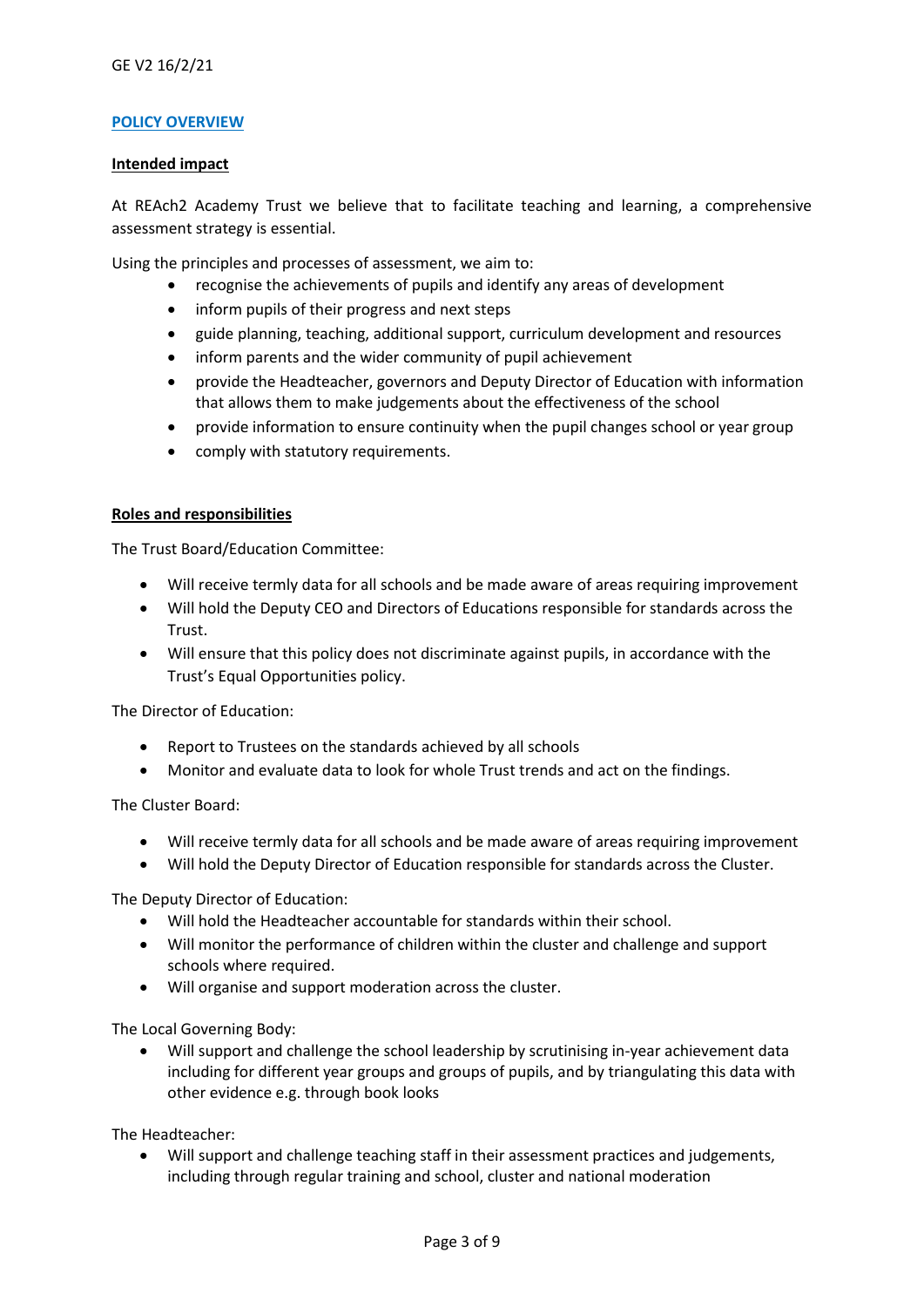#### **POLICY OVERVIEW**

#### **Intended impact**

At REAch2 Academy Trust we believe that to facilitate teaching and learning, a comprehensive assessment strategy is essential.

Using the principles and processes of assessment, we aim to:

- recognise the achievements of pupils and identify any areas of development
- inform pupils of their progress and next steps
- guide planning, teaching, additional support, curriculum development and resources
- inform parents and the wider community of pupil achievement
- provide the Headteacher, governors and Deputy Director of Education with information that allows them to make judgements about the effectiveness of the school
- provide information to ensure continuity when the pupil changes school or year group
- comply with statutory requirements.

#### **Roles and responsibilities**

The Trust Board/Education Committee:

- Will receive termly data for all schools and be made aware of areas requiring improvement
- Will hold the Deputy CEO and Directors of Educations responsible for standards across the Trust.
- Will ensure that this policy does not discriminate against pupils, in accordance with the Trust's Equal Opportunities policy.

The Director of Education:

- Report to Trustees on the standards achieved by all schools
- Monitor and evaluate data to look for whole Trust trends and act on the findings.

The Cluster Board:

- Will receive termly data for all schools and be made aware of areas requiring improvement
- Will hold the Deputy Director of Education responsible for standards across the Cluster.

The Deputy Director of Education:

- Will hold the Headteacher accountable for standards within their school.
- Will monitor the performance of children within the cluster and challenge and support schools where required.
- Will organise and support moderation across the cluster.

The Local Governing Body:

• Will support and challenge the school leadership by scrutinising in-year achievement data including for different year groups and groups of pupils, and by triangulating this data with other evidence e.g. through book looks

The Headteacher:

• Will support and challenge teaching staff in their assessment practices and judgements, including through regular training and school, cluster and national moderation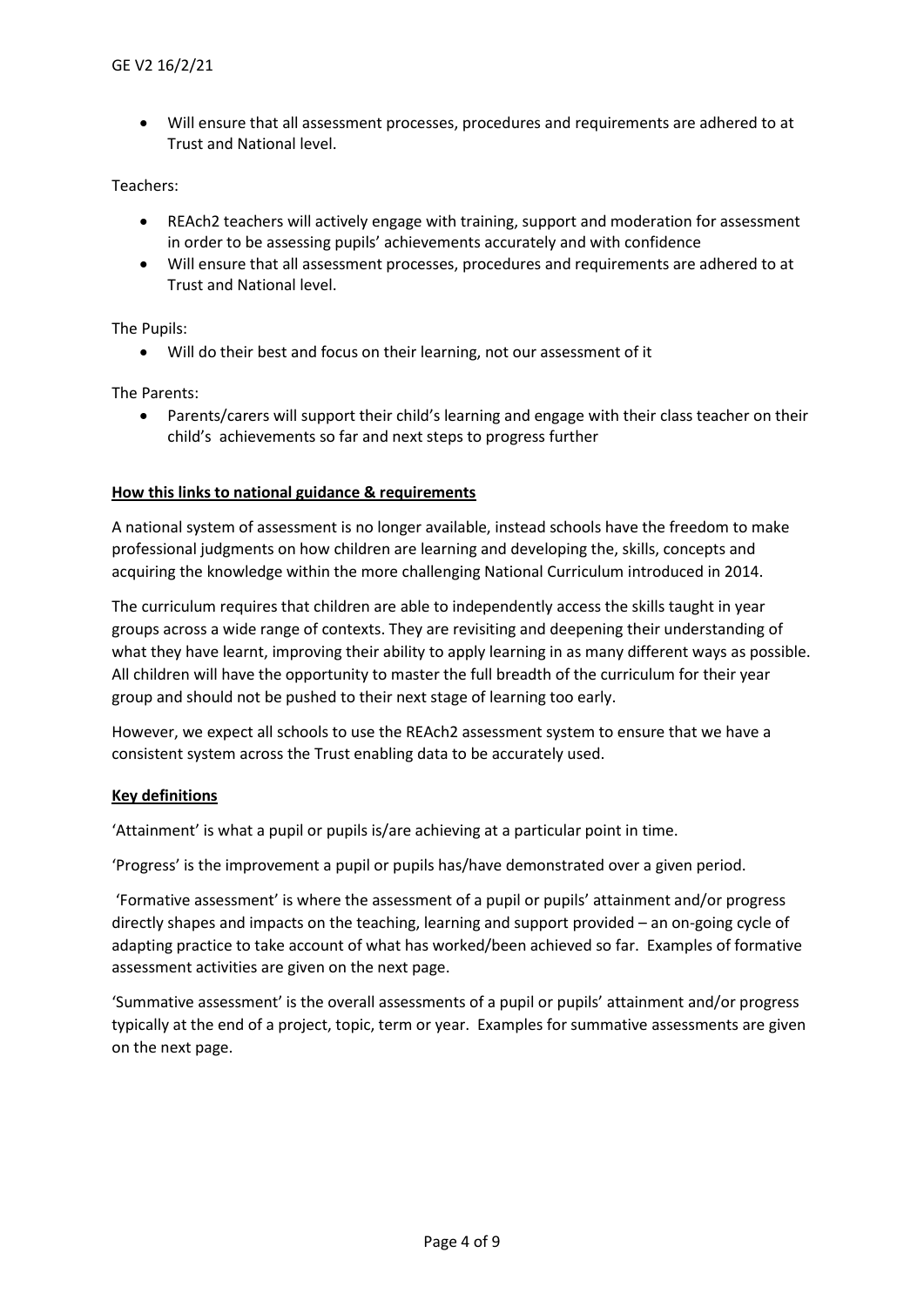• Will ensure that all assessment processes, procedures and requirements are adhered to at Trust and National level.

Teachers:

- REAch2 teachers will actively engage with training, support and moderation for assessment in order to be assessing pupils' achievements accurately and with confidence
- Will ensure that all assessment processes, procedures and requirements are adhered to at Trust and National level.

The Pupils:

• Will do their best and focus on their learning, not our assessment of it

The Parents:

• Parents/carers will support their child's learning and engage with their class teacher on their child's achievements so far and next steps to progress further

#### **How this links to national guidance & requirements**

A national system of assessment is no longer available, instead schools have the freedom to make professional judgments on how children are learning and developing the, skills, concepts and acquiring the knowledge within the more challenging National Curriculum introduced in 2014.

The curriculum requires that children are able to independently access the skills taught in year groups across a wide range of contexts. They are revisiting and deepening their understanding of what they have learnt, improving their ability to apply learning in as many different ways as possible. All children will have the opportunity to master the full breadth of the curriculum for their year group and should not be pushed to their next stage of learning too early.

However, we expect all schools to use the REAch2 assessment system to ensure that we have a consistent system across the Trust enabling data to be accurately used.

#### **Key definitions**

'Attainment' is what a pupil or pupils is/are achieving at a particular point in time.

'Progress' is the improvement a pupil or pupils has/have demonstrated over a given period.

'Formative assessment' is where the assessment of a pupil or pupils' attainment and/or progress directly shapes and impacts on the teaching, learning and support provided – an on-going cycle of adapting practice to take account of what has worked/been achieved so far. Examples of formative assessment activities are given on the next page.

'Summative assessment' is the overall assessments of a pupil or pupils' attainment and/or progress typically at the end of a project, topic, term or year. Examples for summative assessments are given on the next page.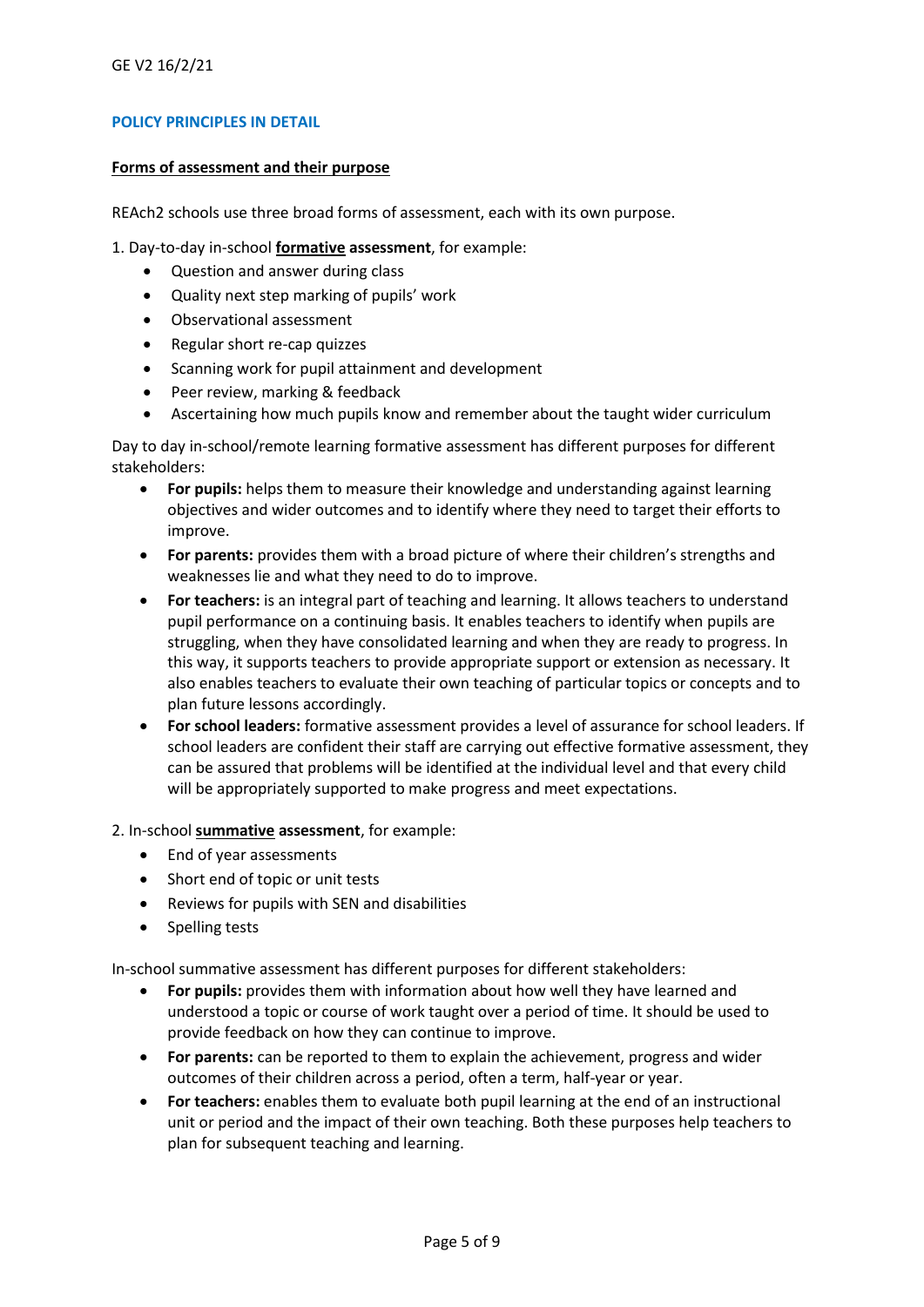#### **POLICY PRINCIPLES IN DETAIL**

#### **Forms of assessment and their purpose**

REAch2 schools use three broad forms of assessment, each with its own purpose.

1. Day-to-day in-school **formative assessment**, for example:

- Question and answer during class
- Quality next step marking of pupils' work
- Observational assessment
- Regular short re-cap quizzes
- Scanning work for pupil attainment and development
- Peer review, marking & feedback
- Ascertaining how much pupils know and remember about the taught wider curriculum

Day to day in-school/remote learning formative assessment has different purposes for different stakeholders:

- **For pupils:** helps them to measure their knowledge and understanding against learning objectives and wider outcomes and to identify where they need to target their efforts to improve.
- **For parents:** provides them with a broad picture of where their children's strengths and weaknesses lie and what they need to do to improve.
- **For teachers:** is an integral part of teaching and learning. It allows teachers to understand pupil performance on a continuing basis. It enables teachers to identify when pupils are struggling, when they have consolidated learning and when they are ready to progress. In this way, it supports teachers to provide appropriate support or extension as necessary. It also enables teachers to evaluate their own teaching of particular topics or concepts and to plan future lessons accordingly.
- **For school leaders:** formative assessment provides a level of assurance for school leaders. If school leaders are confident their staff are carrying out effective formative assessment, they can be assured that problems will be identified at the individual level and that every child will be appropriately supported to make progress and meet expectations.

#### 2. In-school **summative assessment**, for example:

- End of year assessments
- Short end of topic or unit tests
- Reviews for pupils with SEN and disabilities
- Spelling tests

In-school summative assessment has different purposes for different stakeholders:

- **For pupils:** provides them with information about how well they have learned and understood a topic or course of work taught over a period of time. It should be used to provide feedback on how they can continue to improve.
- **For parents:** can be reported to them to explain the achievement, progress and wider outcomes of their children across a period, often a term, half-year or year.
- **For teachers:** enables them to evaluate both pupil learning at the end of an instructional unit or period and the impact of their own teaching. Both these purposes help teachers to plan for subsequent teaching and learning.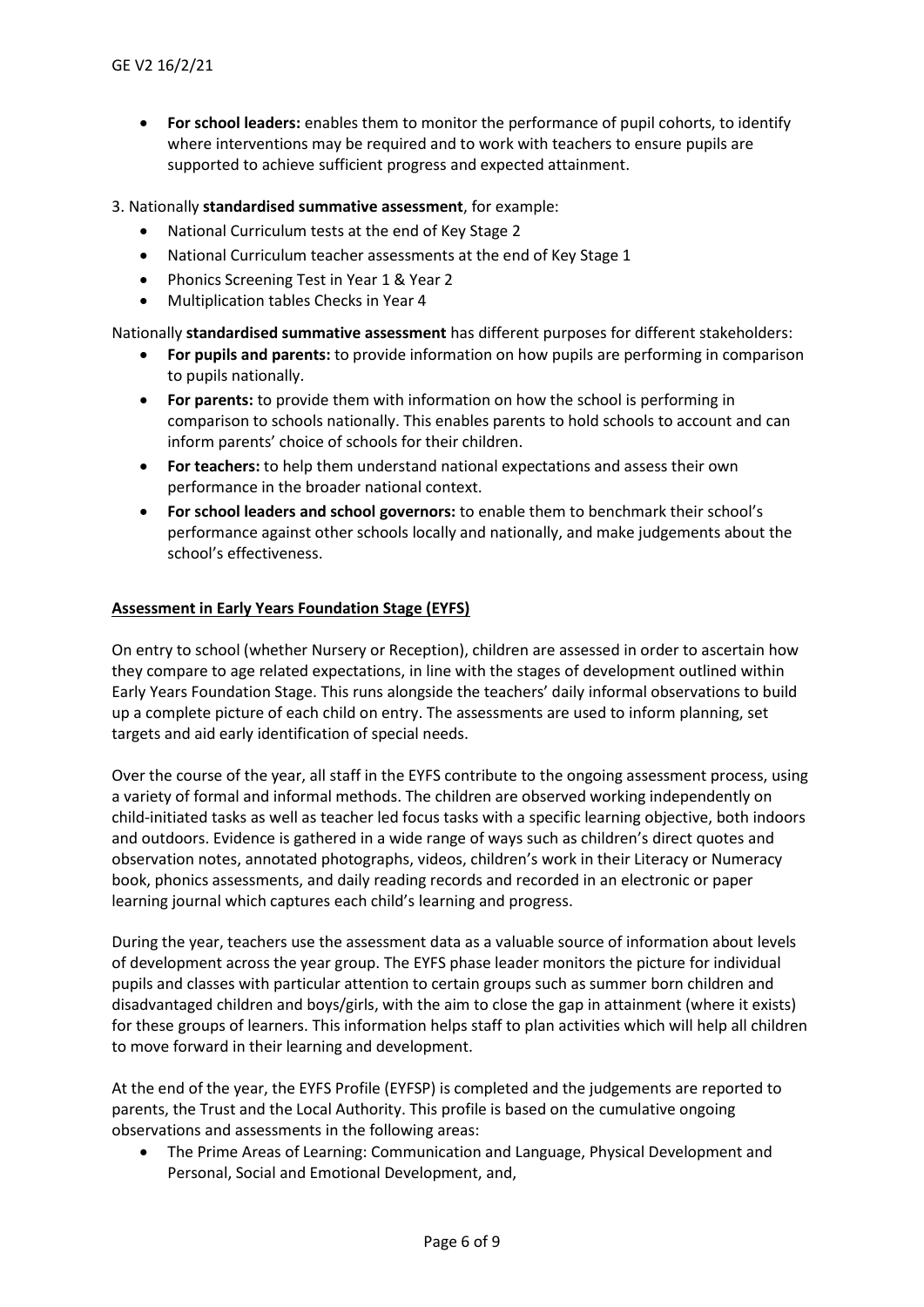- **For school leaders:** enables them to monitor the performance of pupil cohorts, to identify where interventions may be required and to work with teachers to ensure pupils are supported to achieve sufficient progress and expected attainment.
- 3. Nationally **standardised summative assessment**, for example:
	- National Curriculum tests at the end of Key Stage 2
	- National Curriculum teacher assessments at the end of Key Stage 1
	- Phonics Screening Test in Year 1 & Year 2
	- Multiplication tables Checks in Year 4

Nationally **standardised summative assessment** has different purposes for different stakeholders:

- **For pupils and parents:** to provide information on how pupils are performing in comparison to pupils nationally.
- **For parents:** to provide them with information on how the school is performing in comparison to schools nationally. This enables parents to hold schools to account and can inform parents' choice of schools for their children.
- **For teachers:** to help them understand national expectations and assess their own performance in the broader national context.
- **For school leaders and school governors:** to enable them to benchmark their school's performance against other schools locally and nationally, and make judgements about the school's effectiveness.

#### **Assessment in Early Years Foundation Stage (EYFS)**

On entry to school (whether Nursery or Reception), children are assessed in order to ascertain how they compare to age related expectations, in line with the stages of development outlined within Early Years Foundation Stage. This runs alongside the teachers' daily informal observations to build up a complete picture of each child on entry. The assessments are used to inform planning, set targets and aid early identification of special needs.

Over the course of the year, all staff in the EYFS contribute to the ongoing assessment process, using a variety of formal and informal methods. The children are observed working independently on child-initiated tasks as well as teacher led focus tasks with a specific learning objective, both indoors and outdoors. Evidence is gathered in a wide range of ways such as children's direct quotes and observation notes, annotated photographs, videos, children's work in their Literacy or Numeracy book, phonics assessments, and daily reading records and recorded in an electronic or paper learning journal which captures each child's learning and progress.

During the year, teachers use the assessment data as a valuable source of information about levels of development across the year group. The EYFS phase leader monitors the picture for individual pupils and classes with particular attention to certain groups such as summer born children and disadvantaged children and boys/girls, with the aim to close the gap in attainment (where it exists) for these groups of learners. This information helps staff to plan activities which will help all children to move forward in their learning and development.

At the end of the year, the EYFS Profile (EYFSP) is completed and the judgements are reported to parents, the Trust and the Local Authority. This profile is based on the cumulative ongoing observations and assessments in the following areas:

• The Prime Areas of Learning: Communication and Language, Physical Development and Personal, Social and Emotional Development, and,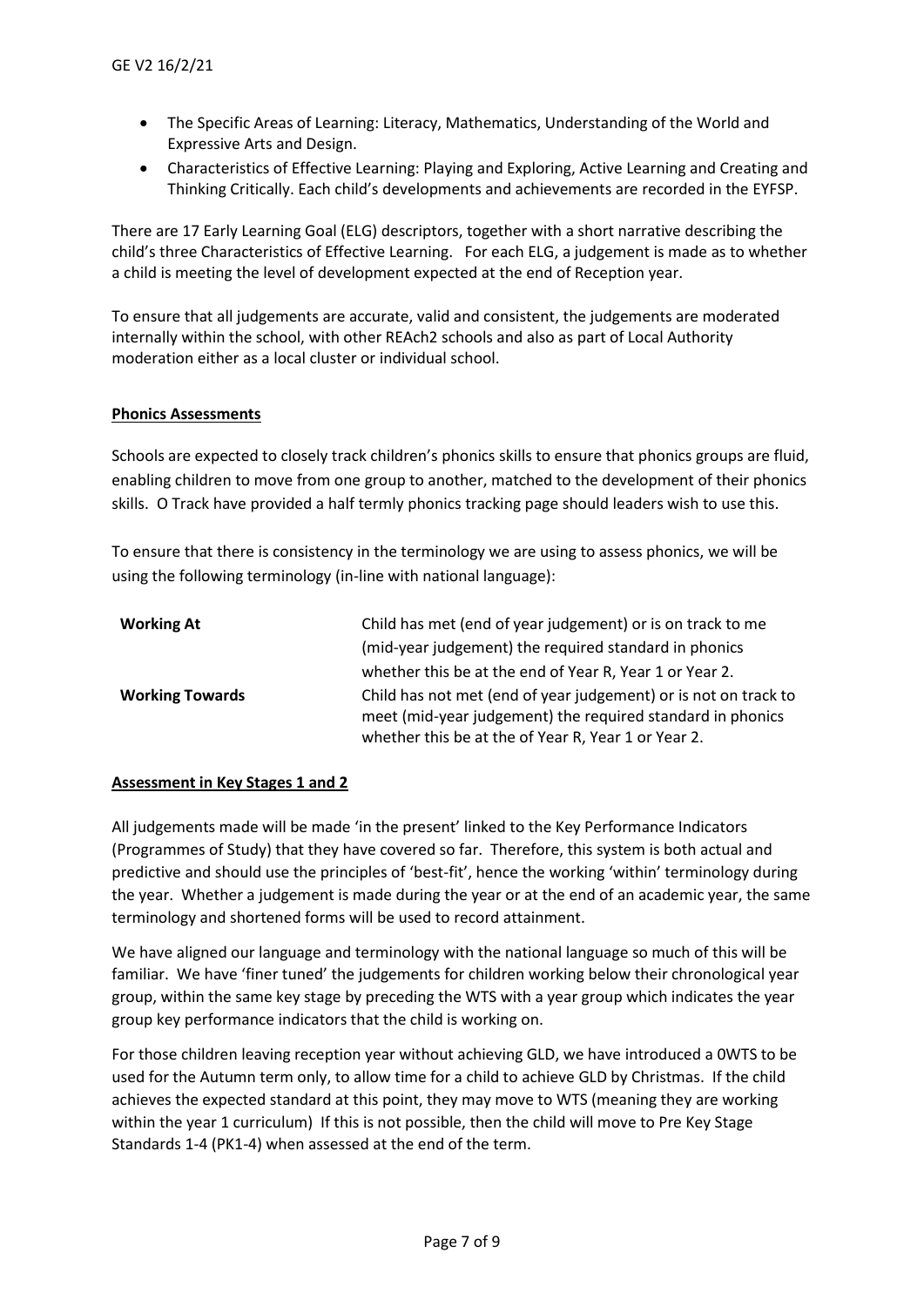- The Specific Areas of Learning: Literacy, Mathematics, Understanding of the World and Expressive Arts and Design.
- Characteristics of Effective Learning: Playing and Exploring, Active Learning and Creating and Thinking Critically. Each child's developments and achievements are recorded in the EYFSP.

There are 17 Early Learning Goal (ELG) descriptors, together with a short narrative describing the child's three Characteristics of Effective Learning. For each ELG, a judgement is made as to whether a child is meeting the level of development expected at the end of Reception year.

To ensure that all judgements are accurate, valid and consistent, the judgements are moderated internally within the school, with other REAch2 schools and also as part of Local Authority moderation either as a local cluster or individual school.

#### **Phonics Assessments**

Schools are expected to closely track children's phonics skills to ensure that phonics groups are fluid, enabling children to move from one group to another, matched to the development of their phonics skills. O Track have provided a half termly phonics tracking page should leaders wish to use this.

To ensure that there is consistency in the terminology we are using to assess phonics, we will be using the following terminology (in-line with national language):

| <b>Working At</b>      | Child has met (end of year judgement) or is on track to me                                                                                                                           |
|------------------------|--------------------------------------------------------------------------------------------------------------------------------------------------------------------------------------|
|                        | (mid-year judgement) the required standard in phonics                                                                                                                                |
|                        | whether this be at the end of Year R, Year 1 or Year 2.                                                                                                                              |
| <b>Working Towards</b> | Child has not met (end of year judgement) or is not on track to<br>meet (mid-year judgement) the required standard in phonics<br>whether this be at the of Year R, Year 1 or Year 2. |

#### **Assessment in Key Stages 1 and 2**

All judgements made will be made 'in the present' linked to the Key Performance Indicators (Programmes of Study) that they have covered so far. Therefore, this system is both actual and predictive and should use the principles of 'best-fit', hence the working 'within' terminology during the year. Whether a judgement is made during the year or at the end of an academic year, the same terminology and shortened forms will be used to record attainment.

We have aligned our language and terminology with the national language so much of this will be familiar. We have 'finer tuned' the judgements for children working below their chronological year group, within the same key stage by preceding the WTS with a year group which indicates the year group key performance indicators that the child is working on.

For those children leaving reception year without achieving GLD, we have introduced a 0WTS to be used for the Autumn term only, to allow time for a child to achieve GLD by Christmas. If the child achieves the expected standard at this point, they may move to WTS (meaning they are working within the year 1 curriculum) If this is not possible, then the child will move to Pre Key Stage Standards 1-4 (PK1-4) when assessed at the end of the term.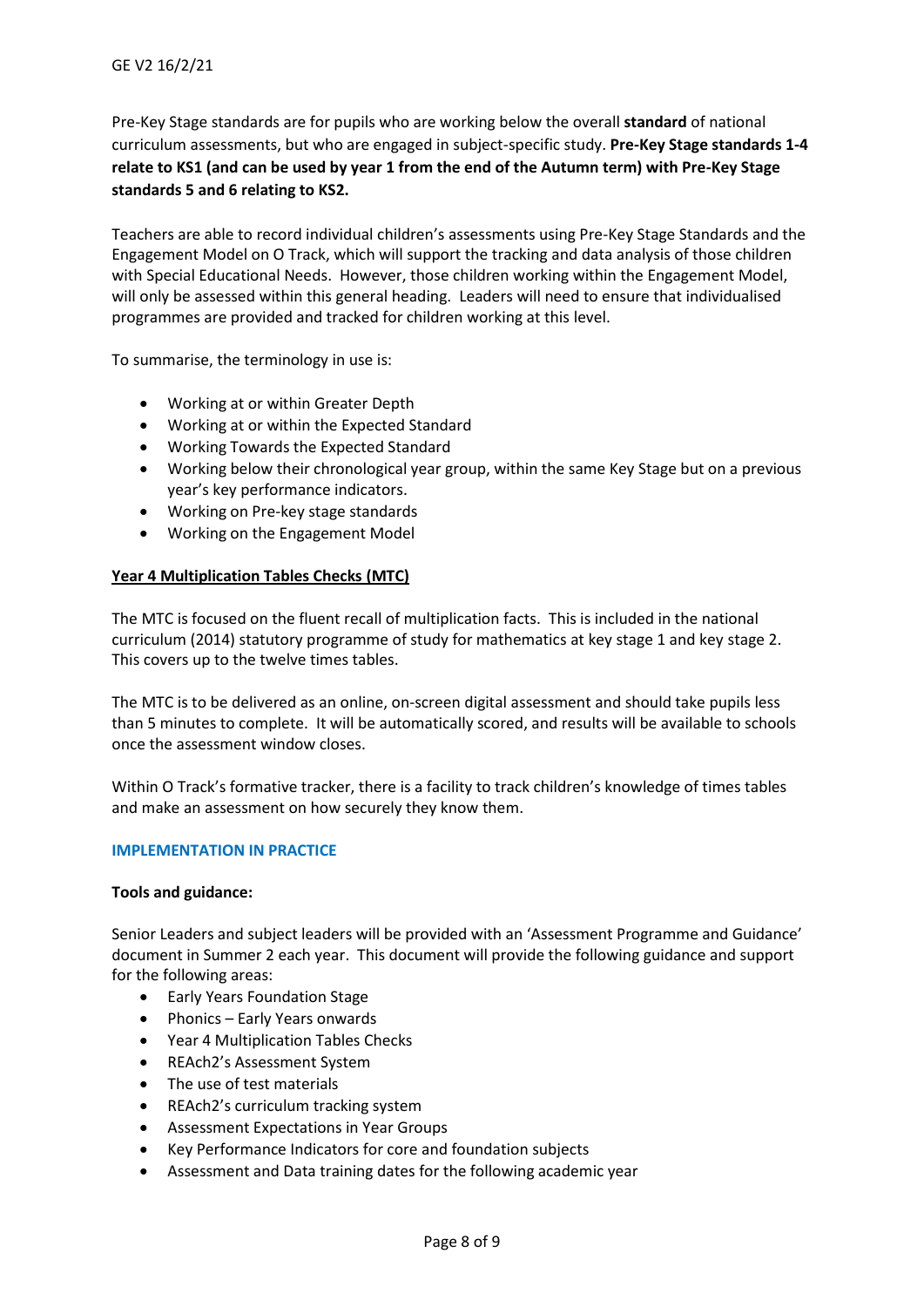Pre-Key Stage standards are for pupils who are working below the overall **standard** of national curriculum assessments, but who are engaged in subject-specific study. **Pre-Key Stage standards 1-4 relate to KS1 (and can be used by year 1 from the end of the Autumn term) with Pre-Key Stage standards 5 and 6 relating to KS2.**

Teachers are able to record individual children's assessments using Pre-Key Stage Standards and the Engagement Model on O Track, which will support the tracking and data analysis of those children with Special Educational Needs. However, those children working within the Engagement Model, will only be assessed within this general heading. Leaders will need to ensure that individualised programmes are provided and tracked for children working at this level.

To summarise, the terminology in use is:

- Working at or within Greater Depth
- Working at or within the Expected Standard
- Working Towards the Expected Standard
- Working below their chronological year group, within the same Key Stage but on a previous year's key performance indicators.
- Working on Pre-key stage standards
- Working on the Engagement Model

#### **Year 4 Multiplication Tables Checks (MTC)**

The MTC is focused on the fluent recall of multiplication facts. This is included in the national curriculum (2014) statutory programme of study for mathematics at key stage 1 and key stage 2. This covers up to the twelve times tables.

The MTC is to be delivered as an online, on-screen digital assessment and should take pupils less than 5 minutes to complete. It will be automatically scored, and results will be available to schools once the assessment window closes.

Within O Track's formative tracker, there is a facility to track children's knowledge of times tables and make an assessment on how securely they know them.

#### **IMPLEMENTATION IN PRACTICE**

#### **Tools and guidance:**

Senior Leaders and subject leaders will be provided with an 'Assessment Programme and Guidance' document in Summer 2 each year. This document will provide the following guidance and support for the following areas:

- Early Years Foundation Stage
- Phonics Early Years onwards
- Year 4 Multiplication Tables Checks
- REAch2's Assessment System
- The use of test materials
- REAch2's curriculum tracking system
- Assessment Expectations in Year Groups
- Key Performance Indicators for core and foundation subjects
- Assessment and Data training dates for the following academic year